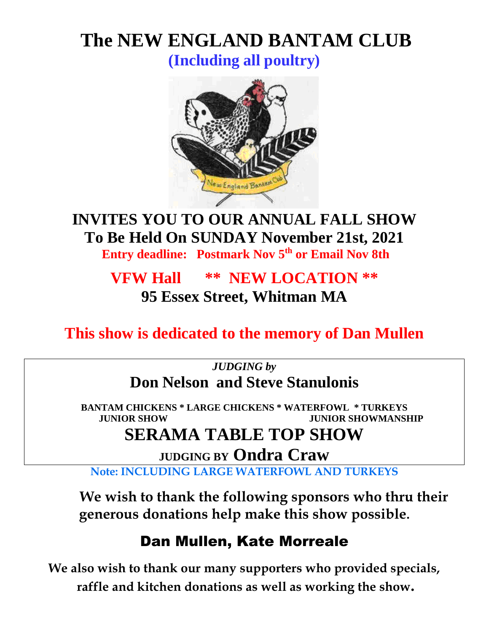# **The NEW ENGLAND BANTAM CLUB**

**(Including all poultry)**



## **INVITES YOU TO OUR ANNUAL FALL SHOW To Be Held On SUNDAY November 21st, 2021**

 **Entry deadline: Postmark Nov 5 th or Email Nov 8th**

## **VFW Hall \*\* NEW LOCATION \*\* 95 Essex Street, Whitman MA**

**This show is dedicated to the memory of Dan Mullen**

*JUDGING by* **Don Nelson and Steve Stanulonis**

**BANTAM CHICKENS \* LARGE CHICKENS \* WATERFOWL \* TURKEYS JUNIOR SHOW JUNIOR SHOWMANSHIP**

## **SERAMA TABLE TOP SHOW**

**JUDGING BY Ondra Craw**

**Note: INCLUDING LARGE WATERFOWL AND TURKEYS**

**We wish to thank the following sponsors who thru their generous donations help make this show possible.**

## Dan Mullen, Kate Morreale

**We also wish to thank our many supporters who provided specials, raffle and kitchen donations as well as working the show.**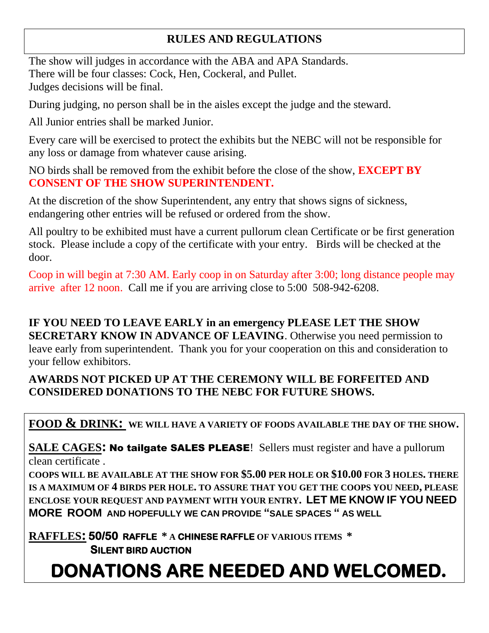### **RULES AND REGULATIONS**

The show will judges in accordance with the ABA and APA Standards. There will be four classes: Cock, Hen, Cockeral, and Pullet. Judges decisions will be final.

During judging, no person shall be in the aisles except the judge and the steward.

All Junior entries shall be marked Junior.

Every care will be exercised to protect the exhibits but the NEBC will not be responsible for any loss or damage from whatever cause arising.

NO birds shall be removed from the exhibit before the close of the show, **EXCEPT BY CONSENT OF THE SHOW SUPERINTENDENT.**

At the discretion of the show Superintendent, any entry that shows signs of sickness, endangering other entries will be refused or ordered from the show.

All poultry to be exhibited must have a current pullorum clean Certificate or be first generation stock. Please include a copy of the certificate with your entry. Birds will be checked at the door.

Coop in will begin at 7:30 AM. Early coop in on Saturday after 3:00; long distance people may arrive after 12 noon. Call me if you are arriving close to 5:00 508-942-6208.

**IF YOU NEED TO LEAVE EARLY in an emergency PLEASE LET THE SHOW SECRETARY KNOW IN ADVANCE OF LEAVING**. Otherwise you need permission to leave early from superintendent. Thank you for your cooperation on this and consideration to your fellow exhibitors.

#### **AWARDS NOT PICKED UP AT THE CEREMONY WILL BE FORFEITED AND CONSIDERED DONATIONS TO THE NEBC FOR FUTURE SHOWS.**

**FOOD & DRINK: WE WILL HAVE A VARIETY OF FOODS AVAILABLE THE DAY OF THE SHOW.** 

**SALE CAGES: No tailgate SALES PLEASE!** Sellers must register and have a pullorum clean certificate .

**COOPS WILL BE AVAILABLE AT THE SHOW FOR \$5.00 PER HOLE OR \$10.00 FOR 3 HOLES. THERE IS A MAXIMUM OF 4 BIRDS PER HOLE. TO ASSURE THAT YOU GET THE COOPS YOU NEED, PLEASE ENCLOSE YOUR REQUEST AND PAYMENT WITH YOUR ENTRY. LET ME KNOW IF YOU NEED MORE ROOM AND HOPEFULLY WE CAN PROVIDE "SALE SPACES " AS WELL** 

**RAFFLES: 50/50 RAFFLE \* <sup>A</sup>CHINESE RAFFLE OF VARIOUS ITEMS \***

 **SILENT BIRD AUCTION** 

 **DONATIONS ARE NEEDED AND WELCOMED.**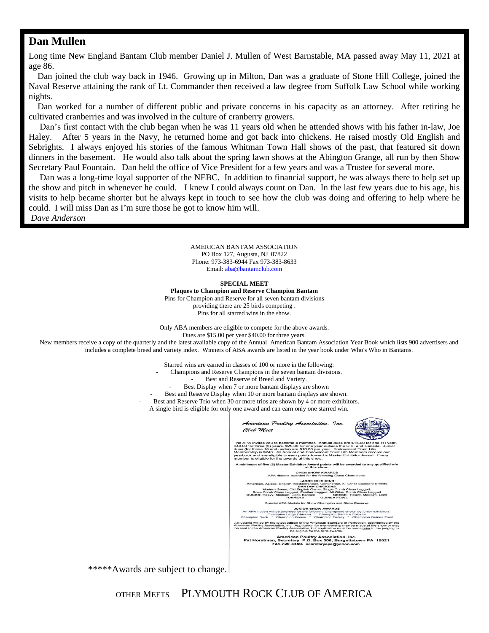#### **Dan Mullen**

Long time New England Bantam Club member Daniel J. Mullen of West Barnstable, MA passed away May 11, 2021 at age 86.

 Dan joined the club way back in 1946. Growing up in Milton, Dan was a graduate of Stone Hill College, joined the Naval Reserve attaining the rank of Lt. Commander then received a law degree from Suffolk Law School while working nights.

 Dan worked for a number of different public and private concerns in his capacity as an attorney. After retiring he cultivated cranberries and was involved in the culture of cranberry growers.

 Dan's first contact with the club began when he was 11 years old when he attended shows with his father in-law, Joe Haley. After 5 years in the Navy, he returned home and got back into chickens. He raised mostly Old English and Sebrights. I always enjoyed his stories of the famous Whitman Town Hall shows of the past, that featured sit down dinners in the basement. He would also talk about the spring lawn shows at the Abington Grange, all run by then Show Secretary Paul Fountain. Dan held the office of Vice President for a few years and was a Trustee for several more.

 Dan was a long-time loyal supporter of the NEBC. In addition to financial support, he was always there to help set up the show and pitch in whenever he could. I knew I could always count on Dan. In the last few years due to his age, his visits to help became shorter but he always kept in touch to see how the club was doing and offering to help where he could. I will miss Dan as I'm sure those he got to know him will.

*Dave Anderson* 

AMERICAN BANTAM ASSOCIATION PO Box 127, Augusta, NJ 07822 Phone: 973-383-6944 Fax 973-383-8633 Email: aba@bantamclub.com

#### **SPECIAL MEET**

**Plaques to Champion and Reserve Champion Bantam** Pins for Champion and Reserve for all seven bantam divisions providing there are 25 birds competing . Pins for all starred wins in the show.

Only ABA members are eligible to compete for the above awards.

Dues are \$15.00 per year \$40.00 for three years.

New members receive a copy of the quarterly and the latest available copy of the Annual American Bantam Association Year Book which lists 900 advertisers and includes a complete breed and variety index. Winners of ABA awards are listed in the year book under Who's Who in Bantams.

Starred wins are earned in classes of 100 or more in the following:

- Champions and Reserve Champions in the seven bantam divisions.
	- Best and Reserve of Breed and Variety.
	- Best Display when 7 or more bantam displays are shown
- Best and Reserve Display when 10 or more bantam displays are shown.
- Best and Reserve Trio when 30 or more trios are shown by 4 or more exhibitors.

A single bird is eligible for only one award and can earn only one starred win.



\*\*\*\*\*Awards are subject to change.

OTHER MEETS PLYMOUTH ROCK CLUB OF AMERICA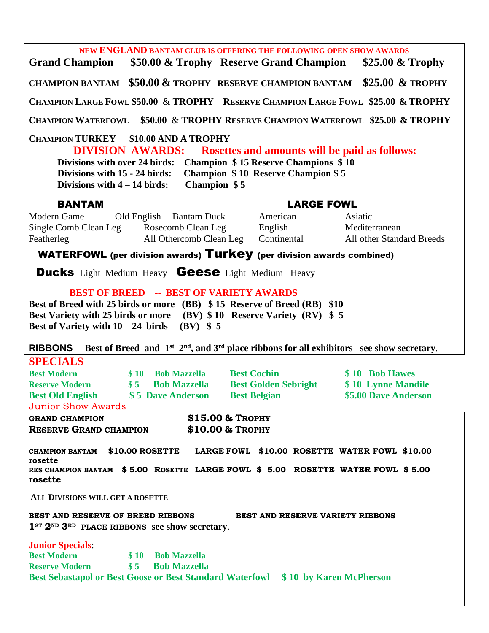**NEW ENGLAND BANTAM CLUB IS OFFERING THE FOLLOWING OPEN SHOW AWARDS Grand Champion \$50.00 & Trophy Reserve Grand Champion \$25.00 & Trophy CHAMPION BANTAM \$50.00 & TROPHY RESERVE CHAMPION BANTAM \$25.00 & TROPHY CHAMPION LARGE FOWL \$50.00** & **TROPHY RESERVE CHAMPION LARGE FOWL \$25.00 & TROPHY CHAMPION WATERFOWL \$50.00** & **TROPHY RESERVE CHAMPION WATERFOWL \$25.00 & TROPHY CHAMPION TURKEY \$10.00 AND A TROPHY DIVISION AWARDS: Rosettes and amounts will be paid as follows: Divisions with over 24 birds: Champion \$ 15 Reserve Champions \$ 10 Divisions with 15 - 24 birds: Champion \$ 10 Reserve Champion \$ 5 Divisions with 4 – 14 birds: Champion \$ 5** BANTAM LARGE FOWL Modern Game Old English Bantam Duck American Asiatic Single Comb Clean Leg Rosecomb Clean Leg English Mediterranean Featherleg All Othercomb Clean Leg Continental All other Standard Breeds WATERFOWL (per division awards) Turkey (per division awards combined) **Ducks** Light Medium Heavy **Geese** Light Medium Heavy  **BEST OF BREED -- BEST OF VARIETY AWARDS Best of Breed with 25 birds or more (BB) \$ 15 Reserve of Breed (RB) \$10 Best Variety with 25 birds or more (BV) \$ 10 Reserve Variety (RV) \$ 5 Best of Variety with**  $10 - 24$  **birds (BV) \$ 5 RIBBONS** Best of Breed and  $1^{st}$   $2^{nd}$ , and  $3^{rd}$  place ribbons for all exhibitors see show secretary. **SPECIALS Best Modern**  $\bullet$  **\$ 10 Bob Mazzella Best Cochin** \$ 10 Bob Hawes **Reserve Modern \$ 5 Bob Mazzella Best Golden Sebright \$ 10 Lynne Mandile Best Old English**  $\qquad$  **\$ 5 Dave Anderson Best Belgian \$5.00 Dave Anderson** Junior Show Awards **GRAND CHAMPION \$15.00 & TROPHY RESERVE GRAND CHAMPION \$10.00 & TROPHY CHAMPION BANTAM \$10.00 ROSETTE LARGE FOWL \$10.00 ROSETTE WATER FOWL \$10.00 rosette RES CHAMPION BANTAM \$ 5.00 ROSETTE LARGE FOWL \$ 5.00 ROSETTE WATER FOWL \$ 5.00 rosette ALL DIVISIONS WILL GET A ROSETTE BEST AND RESERVE OF BREED RIBBONS BEST AND RESERVE VARIETY RIBBONS 1ST 2ND 3RD PLACE RIBBONS see show secretary**. **Junior Specials**: **Best Modern \$ 10 Bob Mazzella Reserve Modern \$ 5 Bob Mazzella Best Sebastapol or Best Goose or Best Standard Waterfowl \$ 10 by Karen McPherson**